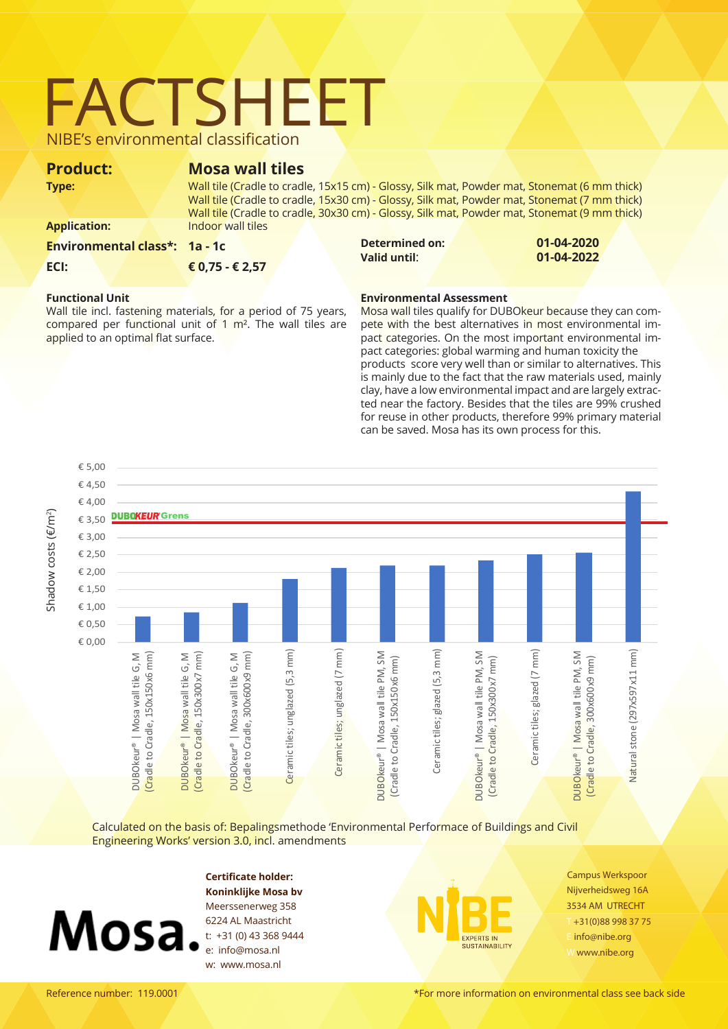## FACTSHEET  NIBE's environmental classification

| <b>Product:</b>               | <b>Mosa wall tiles</b> |                       |                                                                                                                                                                                                                                                                                              |
|-------------------------------|------------------------|-----------------------|----------------------------------------------------------------------------------------------------------------------------------------------------------------------------------------------------------------------------------------------------------------------------------------------|
| Type:                         |                        |                       | Wall tile (Cradle to cradle, 15x15 cm) - Glossy, Silk mat, Powder mat, Stonemat (6 mm thick)<br>Wall tile (Cradle to cradle, 15x30 cm) - Glossy, Silk mat, Powder mat, Stonemat (7 mm thick)<br>Wall tile (Cradle to cradle, 30x30 cm) - Glossy, Silk mat, Powder mat, Stonemat (9 mm thick) |
| <b>Application:</b>           | Indoor wall tiles      |                       |                                                                                                                                                                                                                                                                                              |
| Environmental class*: 1a - 1c |                        | <b>Determined on:</b> | 01-04-2020<br>01-04-2022                                                                                                                                                                                                                                                                     |
| ECI:                          | € 0,75 - € 2,57        | <b>Valid until:</b>   |                                                                                                                                                                                                                                                                                              |

## **Functional Unit**

Wall tile incl. fastening materials, for a period of 75 years, compared per functional unit of 1 m². The wall tiles are applied to an optimal flat surface.

## **Environmental Assessment**

Mosa wall tiles qualify for DUBOkeur because they can compete with the best alternatives in most environmental impact categories. On the most important environmental impact categories: global warming and human toxicity the products score very well than or similar to alternatives. This is mainly due to the fact that the raw materials used, mainly clay, have a low environmental impact and are largely extracted near the factory. Besides that the tiles are 99% crushed for reuse in other products, therefore 99% primary material can be saved. Mosa has its own process for this.



Calculated on the basis of: Bepalingsmethode 'Environmental Performace of Buildings and Civil Engineering Works' version 3.0, incl. amendments



**Certificate holder: Koninklijke Mosa bv** Meerssenerweg 358 6224 AL Maastricht t: +31 (0) 43 368 9444 e: info@mosa.nl w: www.mosa.nl



Nijverheidsweg 16A 3534 AM UTRECHT T +31(0)88 998 37 75 E info@nibe.org W www.nibe.org Campus Werkspoor